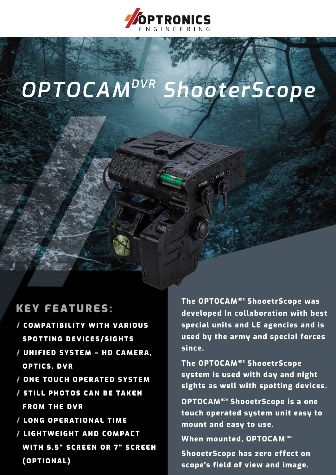

# *OPTOCAMDVR ShooterScope*

wer O

#### KEY FEATURES:

- / COMPATIBILITY WITH VARIOUS SPOTTING DEVICES/SIGHTS
- / UNIFIED SYSTEM HD CAMERA, OPTICS, DVR
- / ONE TOUCH OPERATED SYSTEM
- / STILL PHOTOS CAN BE TAKEN FROM THE DVR
- / LONG OPERATIONAL TIME
- / LIGHTWEIGHT AND COMPACT WITH 5.5" SCREEN OR 7" SCREEN (OPTIONAL)

**The OPTOCAMHDR ShooetrScope was developed In collaboration with best special units and LE agencies and is used by the army and special forces since.**

The OPTOCAM<sup>HDR</sup> ShooetrScope **system is used with day and night sights as well with spotting devices.**

**OPTOCAM<sup>HDR</sup> ShooetrScope is a one touch operated system unit easy to mount and easy to use.**

**When mounted, OPTOCAMHDR** 

**ShooetrScope has zero effect on scope's field of view and image.**